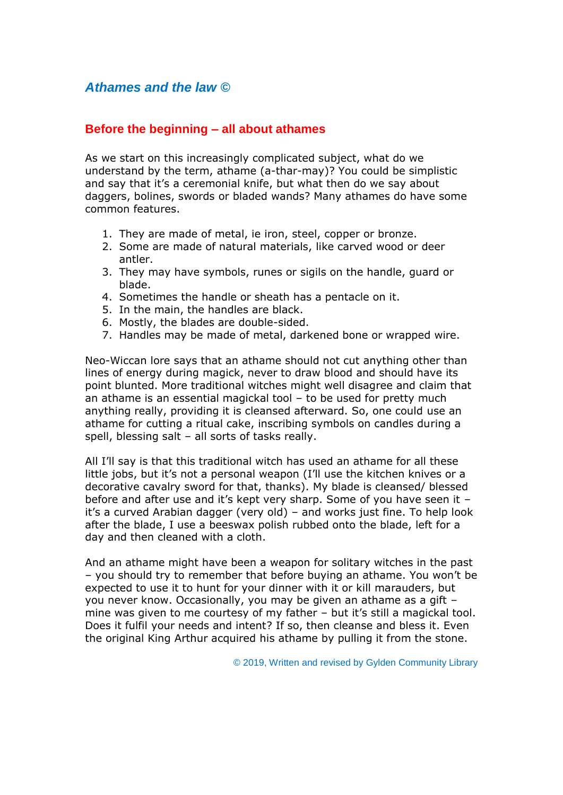# *Athames and the law ©*

## **Before the beginning – all about athames**

As we start on this increasingly complicated subject, what do we understand by the term, athame (a-thar-may)? You could be simplistic and say that it's a ceremonial knife, but what then do we say about daggers, bolines, swords or bladed wands? Many athames do have some common features.

- 1. They are made of metal, ie iron, steel, copper or bronze.
- 2. Some are made of natural materials, like carved wood or deer antler.
- 3. They may have symbols, runes or sigils on the handle, guard or blade.
- 4. Sometimes the handle or sheath has a pentacle on it.
- 5. In the main, the handles are black.
- 6. Mostly, the blades are double-sided.
- 7. Handles may be made of metal, darkened bone or wrapped wire.

Neo-Wiccan lore says that an athame should not cut anything other than lines of energy during magick, never to draw blood and should have its point blunted. More traditional witches might well disagree and claim that an athame is an essential magickal tool – to be used for pretty much anything really, providing it is cleansed afterward. So, one could use an athame for cutting a ritual cake, inscribing symbols on candles during a spell, blessing salt – all sorts of tasks really.

All I'll say is that this traditional witch has used an athame for all these little jobs, but it's not a personal weapon (I'll use the kitchen knives or a decorative cavalry sword for that, thanks). My blade is cleansed/ blessed before and after use and it's kept very sharp. Some of you have seen it – it's a curved Arabian dagger (very old) – and works just fine. To help look after the blade, I use a beeswax polish rubbed onto the blade, left for a day and then cleaned with a cloth.

And an athame might have been a weapon for solitary witches in the past – you should try to remember that before buying an athame. You won't be expected to use it to hunt for your dinner with it or kill marauders, but you never know. Occasionally, you may be given an athame as a gift – mine was given to me courtesy of my father – but it's still a magickal tool. Does it fulfil your needs and intent? If so, then cleanse and bless it. Even the original King Arthur acquired his athame by pulling it from the stone.

© 2019, Written and revised by Gylden Community Library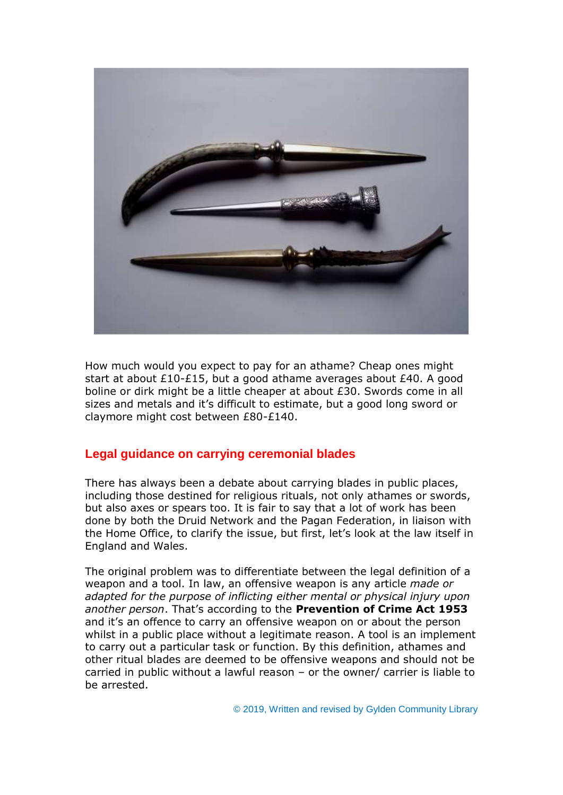

How much would you expect to pay for an athame? Cheap ones might start at about £10-£15, but a good athame averages about £40. A good boline or dirk might be a little cheaper at about £30. Swords come in all sizes and metals and it's difficult to estimate, but a good long sword or claymore might cost between £80-£140.

## **Legal guidance on carrying ceremonial blades**

There has always been a debate about carrying blades in public places, including those destined for religious rituals, not only athames or swords, but also axes or spears too. It is fair to say that a lot of work has been done by both the Druid Network and the Pagan Federation, in liaison with the Home Office, to clarify the issue, but first, let's look at the law itself in England and Wales.

The original problem was to differentiate between the legal definition of a weapon and a tool. In law, an offensive weapon is any article *made or adapted for the purpose of inflicting either mental or physical injury upon another person*. That's according to the **Prevention of Crime Act 1953** and it's an offence to carry an offensive weapon on or about the person whilst in a public place without a legitimate reason. A tool is an implement to carry out a particular task or function. By this definition, athames and other ritual blades are deemed to be offensive weapons and should not be carried in public without a lawful reason – or the owner/ carrier is liable to be arrested.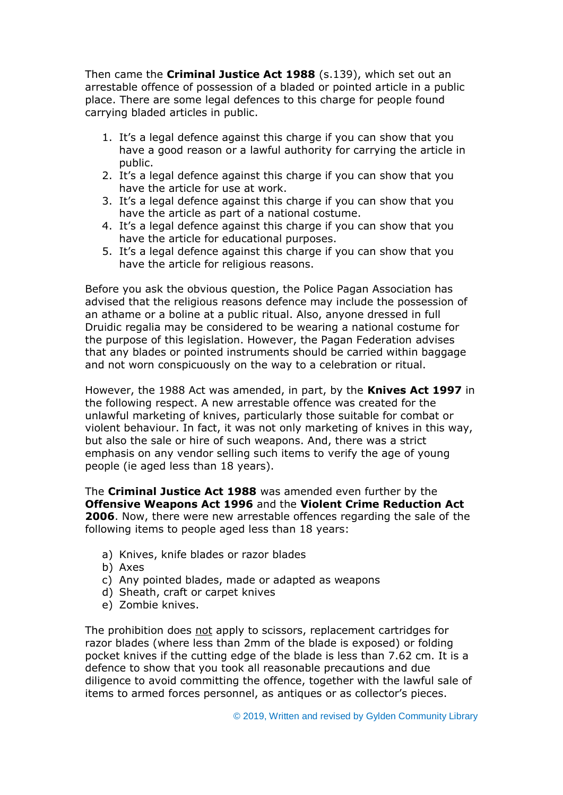Then came the **Criminal Justice Act 1988** (s.139), which set out an arrestable offence of possession of a bladed or pointed article in a public place. There are some legal defences to this charge for people found carrying bladed articles in public.

- 1. It's a legal defence against this charge if you can show that you have a good reason or a lawful authority for carrying the article in public.
- 2. It's a legal defence against this charge if you can show that you have the article for use at work.
- 3. It's a legal defence against this charge if you can show that you have the article as part of a national costume.
- 4. It's a legal defence against this charge if you can show that you have the article for educational purposes.
- 5. It's a legal defence against this charge if you can show that you have the article for religious reasons.

Before you ask the obvious question, the Police Pagan Association has advised that the religious reasons defence may include the possession of an athame or a boline at a public ritual. Also, anyone dressed in full Druidic regalia may be considered to be wearing a national costume for the purpose of this legislation. However, the Pagan Federation advises that any blades or pointed instruments should be carried within baggage and not worn conspicuously on the way to a celebration or ritual.

However, the 1988 Act was amended, in part, by the **Knives Act 1997** in the following respect. A new arrestable offence was created for the unlawful marketing of knives, particularly those suitable for combat or violent behaviour. In fact, it was not only marketing of knives in this way, but also the sale or hire of such weapons. And, there was a strict emphasis on any vendor selling such items to verify the age of young people (ie aged less than 18 years).

The **Criminal Justice Act 1988** was amended even further by the **Offensive Weapons Act 1996** and the **Violent Crime Reduction Act 2006**. Now, there were new arrestable offences regarding the sale of the following items to people aged less than 18 years:

- a) Knives, knife blades or razor blades
- b) Axes
- c) Any pointed blades, made or adapted as weapons
- d) Sheath, craft or carpet knives
- e) Zombie knives.

The prohibition does not apply to scissors, replacement cartridges for razor blades (where less than 2mm of the blade is exposed) or folding pocket knives if the cutting edge of the blade is less than 7.62 cm. It is a defence to show that you took all reasonable precautions and due diligence to avoid committing the offence, together with the lawful sale of items to armed forces personnel, as antiques or as collector's pieces.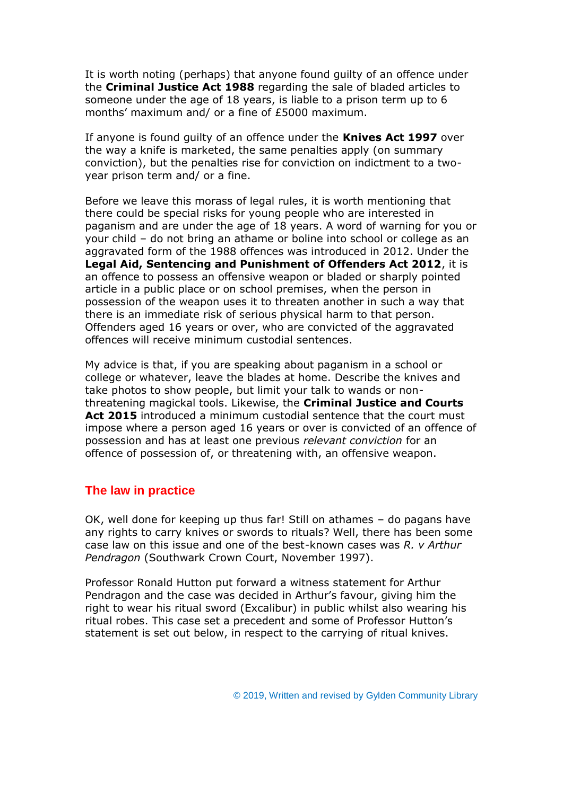It is worth noting (perhaps) that anyone found guilty of an offence under the **Criminal Justice Act 1988** regarding the sale of bladed articles to someone under the age of 18 years, is liable to a prison term up to 6 months' maximum and/ or a fine of £5000 maximum.

If anyone is found guilty of an offence under the **Knives Act 1997** over the way a knife is marketed, the same penalties apply (on summary conviction), but the penalties rise for conviction on indictment to a twoyear prison term and/ or a fine.

Before we leave this morass of legal rules, it is worth mentioning that there could be special risks for young people who are interested in paganism and are under the age of 18 years. A word of warning for you or your child – do not bring an athame or boline into school or college as an aggravated form of the 1988 offences was introduced in 2012. Under the **Legal Aid, Sentencing and Punishment of Offenders Act 2012**, it is an offence to possess an offensive weapon or bladed or sharply pointed article in a public place or on school premises, when the person in possession of the weapon uses it to threaten another in such a way that there is an immediate risk of serious physical harm to that person. Offenders aged 16 years or over, who are convicted of the aggravated offences will receive minimum custodial sentences.

My advice is that, if you are speaking about paganism in a school or college or whatever, leave the blades at home. Describe the knives and take photos to show people, but limit your talk to wands or nonthreatening magickal tools. Likewise, the **Criminal Justice and Courts Act 2015** introduced a minimum custodial sentence that the court must impose where a person aged 16 years or over is convicted of an offence of possession and has at least one previous *relevant conviction* for an offence of possession of, or threatening with, an offensive weapon.

#### **The law in practice**

OK, well done for keeping up thus far! Still on athames – do pagans have any rights to carry knives or swords to rituals? Well, there has been some case law on this issue and one of the best-known cases was *R. v Arthur Pendragon* (Southwark Crown Court, November 1997).

Professor Ronald Hutton put forward a witness statement for Arthur Pendragon and the case was decided in Arthur's favour, giving him the right to wear his ritual sword (Excalibur) in public whilst also wearing his ritual robes. This case set a precedent and some of Professor Hutton's statement is set out below, in respect to the carrying of ritual knives.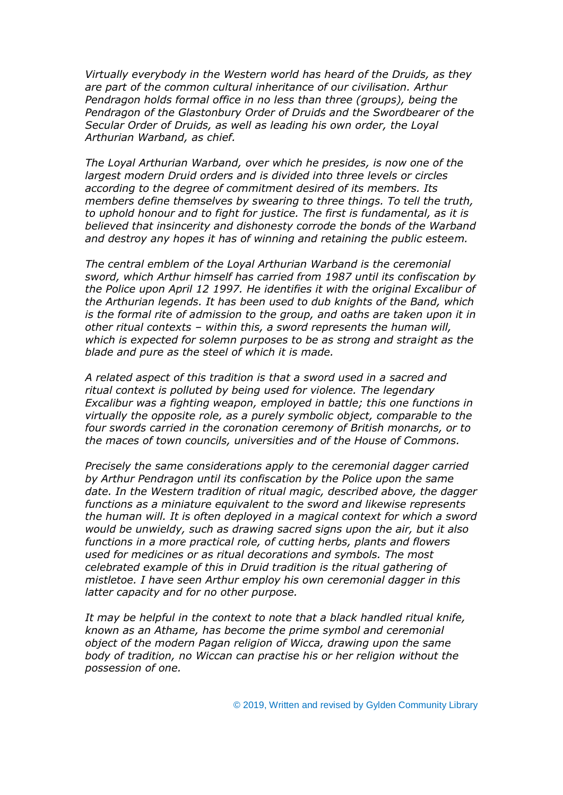*Virtually everybody in the Western world has heard of the Druids, as they are part of the common cultural inheritance of our civilisation. Arthur Pendragon holds formal office in no less than three (groups), being the Pendragon of the Glastonbury Order of Druids and the Swordbearer of the Secular Order of Druids, as well as leading his own order, the Loyal Arthurian Warband, as chief.*

*The Loyal Arthurian Warband, over which he presides, is now one of the largest modern Druid orders and is divided into three levels or circles according to the degree of commitment desired of its members. Its members define themselves by swearing to three things. To tell the truth, to uphold honour and to fight for justice. The first is fundamental, as it is believed that insincerity and dishonesty corrode the bonds of the Warband and destroy any hopes it has of winning and retaining the public esteem.*

*The central emblem of the Loyal Arthurian Warband is the ceremonial sword, which Arthur himself has carried from 1987 until its confiscation by the Police upon April 12 1997. He identifies it with the original Excalibur of the Arthurian legends. It has been used to dub knights of the Band, which is the formal rite of admission to the group, and oaths are taken upon it in other ritual contexts – within this, a sword represents the human will, which is expected for solemn purposes to be as strong and straight as the blade and pure as the steel of which it is made.*

*A related aspect of this tradition is that a sword used in a sacred and ritual context is polluted by being used for violence. The legendary Excalibur was a fighting weapon, employed in battle; this one functions in virtually the opposite role, as a purely symbolic object, comparable to the four swords carried in the coronation ceremony of British monarchs, or to the maces of town councils, universities and of the House of Commons.*

*Precisely the same considerations apply to the ceremonial dagger carried by Arthur Pendragon until its confiscation by the Police upon the same date. In the Western tradition of ritual magic, described above, the dagger functions as a miniature equivalent to the sword and likewise represents the human will. It is often deployed in a magical context for which a sword would be unwieldy, such as drawing sacred signs upon the air, but it also functions in a more practical role, of cutting herbs, plants and flowers used for medicines or as ritual decorations and symbols. The most celebrated example of this in Druid tradition is the ritual gathering of mistletoe. I have seen Arthur employ his own ceremonial dagger in this latter capacity and for no other purpose.*

*It may be helpful in the context to note that a black handled ritual knife, known as an Athame, has become the prime symbol and ceremonial object of the modern Pagan religion of Wicca, drawing upon the same body of tradition, no Wiccan can practise his or her religion without the possession of one.*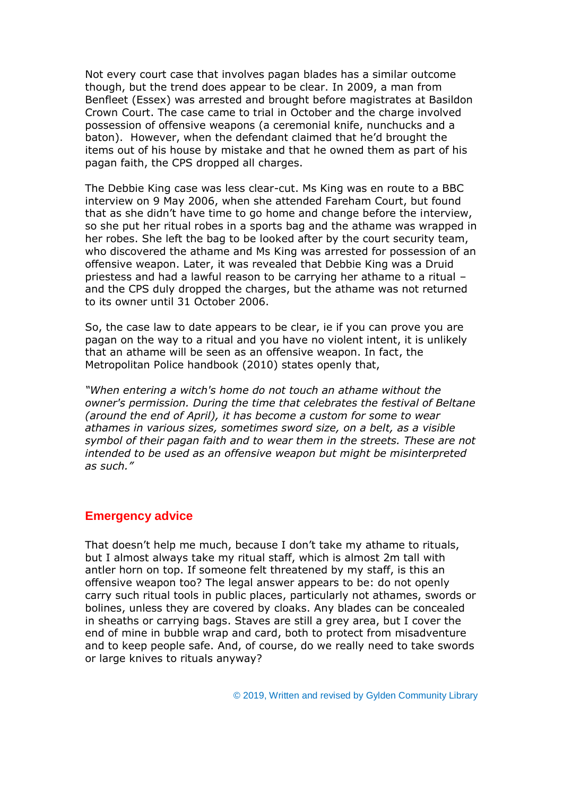Not every court case that involves pagan blades has a similar outcome though, but the trend does appear to be clear. In 2009, a man from Benfleet (Essex) was arrested and brought before magistrates at Basildon Crown Court. The case came to trial in October and the charge involved possession of offensive weapons (a ceremonial knife, nunchucks and a baton). However, when the defendant claimed that he'd brought the items out of his house by mistake and that he owned them as part of his pagan faith, the CPS dropped all charges.

The Debbie King case was less clear-cut. Ms King was en route to a BBC interview on 9 May 2006, when she attended Fareham Court, but found that as she didn't have time to go home and change before the interview, so she put her ritual robes in a sports bag and the athame was wrapped in her robes. She left the bag to be looked after by the court security team, who discovered the athame and Ms King was arrested for possession of an offensive weapon. Later, it was revealed that Debbie King was a Druid priestess and had a lawful reason to be carrying her athame to a ritual – and the CPS duly dropped the charges, but the athame was not returned to its owner until 31 October 2006.

So, the case law to date appears to be clear, ie if you can prove you are pagan on the way to a ritual and you have no violent intent, it is unlikely that an athame will be seen as an offensive weapon. In fact, the Metropolitan Police handbook (2010) states openly that,

*"When entering a witch's home do not touch an athame without the owner's permission. During the time that celebrates the festival of Beltane (around the end of April), it has become a custom for some to wear athames in various sizes, sometimes sword size, on a belt, as a visible symbol of their pagan faith and to wear them in the streets. These are not intended to be used as an offensive weapon but might be misinterpreted as such."*

#### **Emergency advice**

That doesn't help me much, because I don't take my athame to rituals, but I almost always take my ritual staff, which is almost 2m tall with antler horn on top. If someone felt threatened by my staff, is this an offensive weapon too? The legal answer appears to be: do not openly carry such ritual tools in public places, particularly not athames, swords or bolines, unless they are covered by cloaks. Any blades can be concealed in sheaths or carrying bags. Staves are still a grey area, but I cover the end of mine in bubble wrap and card, both to protect from misadventure and to keep people safe. And, of course, do we really need to take swords or large knives to rituals anyway?